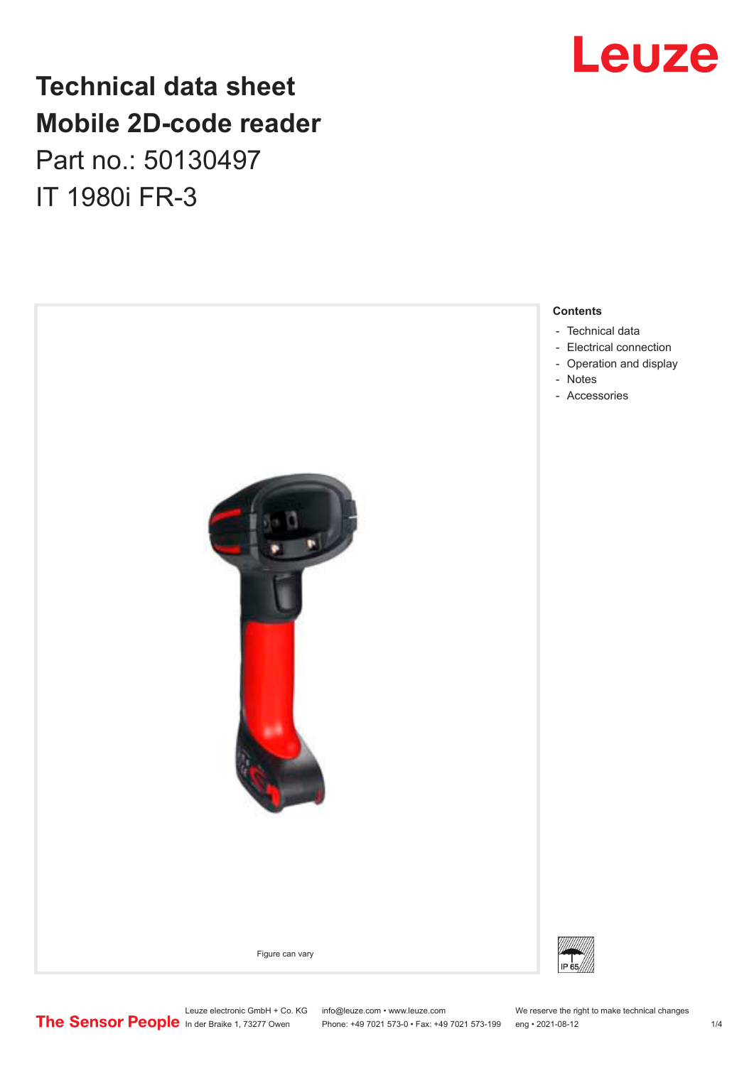## **Technical data sheet Mobile 2D-code reader** Part no.: 50130497

IT 1980i FR-3





Leuze electronic GmbH + Co. KG info@leuze.com • www.leuze.com We reserve the right to make technical changes<br>
The Sensor People in der Braike 1, 73277 Owen Phone: +49 7021 573-0 • Fax: +49 7021 573-199 eng • 2021-08-12

Phone: +49 7021 573-0 • Fax: +49 7021 573-199 eng • 2021-08-12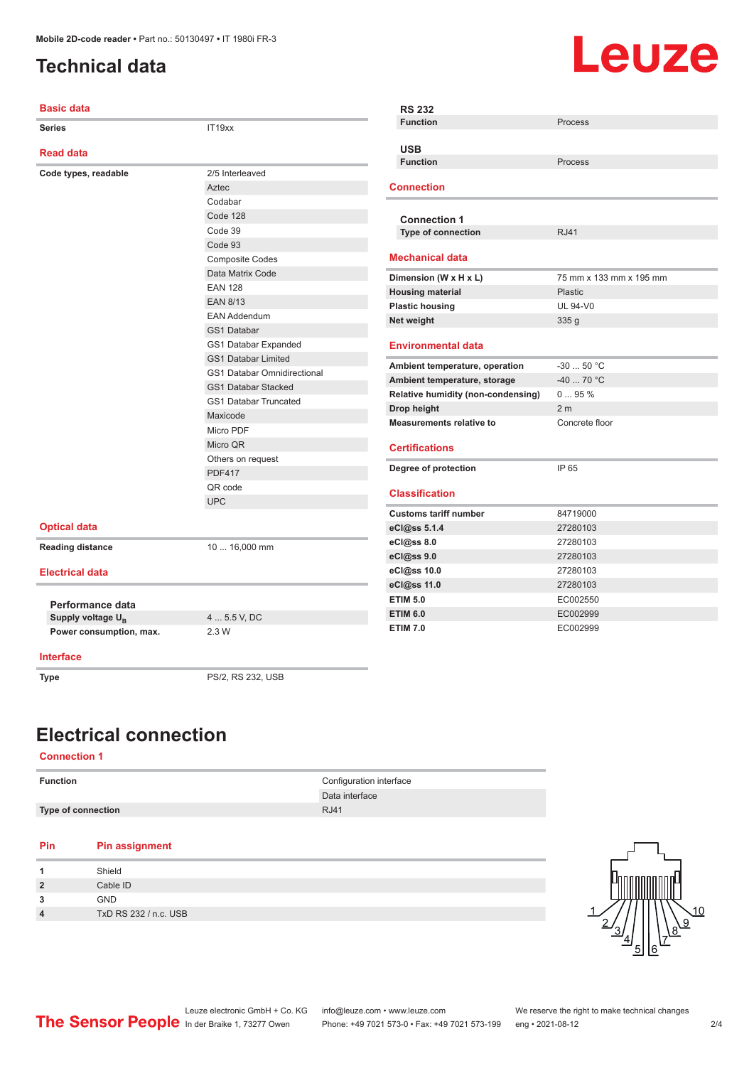#### <span id="page-1-0"></span>**Technical data**

# Leuze

| <b>Basic data</b>             |                                    | <b>RS 232</b>                      |                         |
|-------------------------------|------------------------------------|------------------------------------|-------------------------|
| <b>Series</b>                 | IT19xx                             | <b>Function</b>                    | <b>Process</b>          |
|                               |                                    | <b>USB</b>                         |                         |
| <b>Read data</b>              |                                    | <b>Function</b>                    | Process                 |
| Code types, readable          | 2/5 Interleaved                    |                                    |                         |
|                               | Aztec                              | <b>Connection</b>                  |                         |
|                               | Codabar                            |                                    |                         |
|                               | Code 128                           | <b>Connection 1</b>                |                         |
|                               | Code 39                            | Type of connection                 | <b>RJ41</b>             |
|                               | Code 93                            |                                    |                         |
|                               | <b>Composite Codes</b>             | <b>Mechanical data</b>             |                         |
|                               | Data Matrix Code                   | Dimension (W x H x L)              | 75 mm x 133 mm x 195 mm |
|                               | <b>EAN 128</b>                     | <b>Housing material</b>            | <b>Plastic</b>          |
|                               | <b>EAN 8/13</b>                    | <b>Plastic housing</b>             | <b>UL 94-V0</b>         |
|                               | EAN Addendum                       | Net weight                         | 335 g                   |
|                               | GS1 Databar                        |                                    |                         |
|                               | GS1 Databar Expanded               | <b>Environmental data</b>          |                         |
|                               | <b>GS1 Databar Limited</b>         | Ambient temperature, operation     | $-3050 °C$              |
|                               | <b>GS1 Databar Omnidirectional</b> | Ambient temperature, storage       | $-4070 °C$              |
|                               | <b>GS1 Databar Stacked</b>         | Relative humidity (non-condensing) | 095%                    |
|                               | <b>GS1 Databar Truncated</b>       | Drop height                        | 2 <sub>m</sub>          |
|                               | Maxicode                           | <b>Measurements relative to</b>    | Concrete floor          |
|                               | Micro PDF                          |                                    |                         |
|                               | Micro QR                           | <b>Certifications</b>              |                         |
|                               | Others on request                  |                                    |                         |
|                               | <b>PDF417</b>                      | Degree of protection               | IP 65                   |
|                               | QR code                            | <b>Classification</b>              |                         |
|                               | <b>UPC</b>                         | <b>Customs tariff number</b>       | 84719000                |
| <b>Optical data</b>           |                                    | eCl@ss 5.1.4                       | 27280103                |
|                               |                                    | eCl@ss 8.0                         | 27280103                |
| <b>Reading distance</b>       | 10  16,000 mm                      | eCl@ss 9.0                         | 27280103                |
| <b>Electrical data</b>        |                                    | eCl@ss 10.0                        | 27280103                |
|                               |                                    | eCl@ss 11.0                        | 27280103                |
|                               |                                    | <b>ETIM 5.0</b>                    | EC002550                |
| Performance data              |                                    | <b>ETIM 6.0</b>                    | EC002999                |
| Supply voltage U <sub>B</sub> | 4  5.5 V, DC                       | <b>ETIM 7.0</b>                    | EC002999                |
| Power consumption, max.       | 2.3 W                              |                                    |                         |
| <b>Interface</b>              |                                    |                                    |                         |
| <b>Type</b>                   | PS/2, RS 232, USB                  |                                    |                         |

#### **Electrical connection**

#### **Connection 1**

| <b>Function</b>    | Configuration interface |
|--------------------|-------------------------|
|                    | Data interface          |
| Type of connection | <b>RJ41</b>             |

#### **Pin Pin assignment**

| Shield                |  |
|-----------------------|--|
| Cable ID              |  |
| <b>GND</b>            |  |
| TxD RS 232 / n.c. USB |  |
|                       |  |

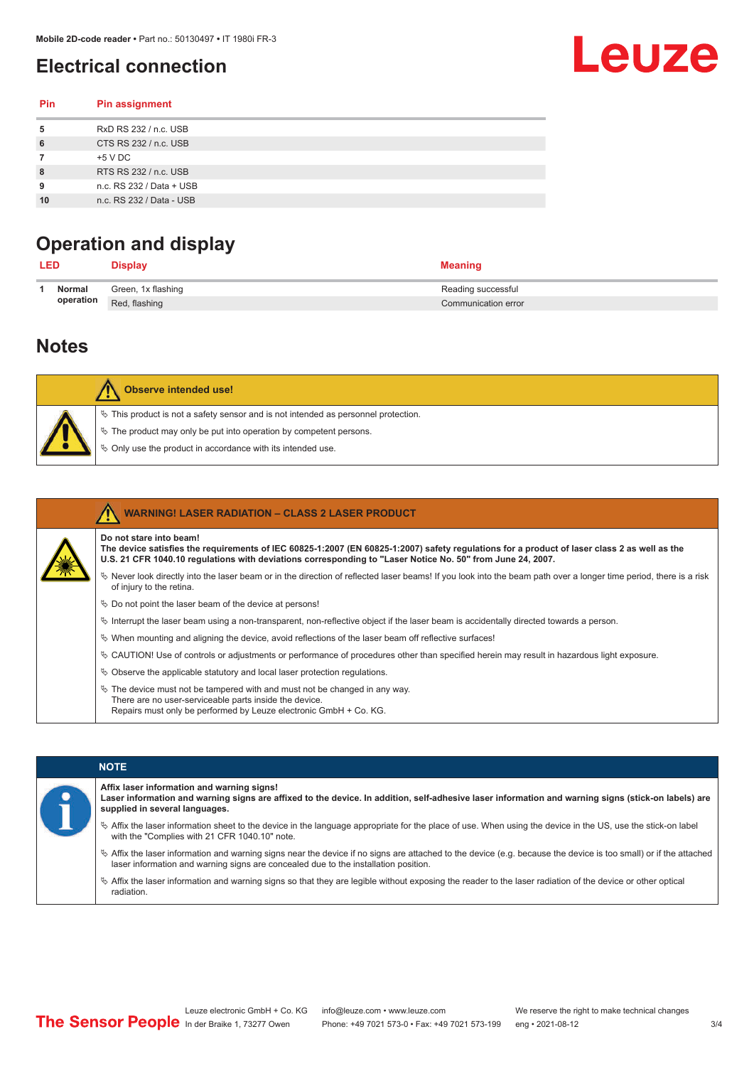#### <span id="page-2-0"></span>**Electrical connection**



| Pin | <b>Pin assignment</b>    |
|-----|--------------------------|
| 5   | RxD RS 232 / n.c. USB    |
| 6   | CTS RS 232 / n.c. USB    |
|     | +5 V DC                  |
| 8   | RTS RS 232 / n.c. USB    |
| 9   | n.c. RS 232 / Data + USB |
| 10  | n.c. RS 232 / Data - USB |

### **Operation and display**

| <b>LED</b> |        | Display                 | <b>Meaning</b>      |
|------------|--------|-------------------------|---------------------|
|            | Normal | Green, 1x flashing      | Reading successful  |
|            |        | operation Red, flashing | Communication error |

#### **Notes**

| <b>Observe intended use!</b>                                                          |
|---------------------------------------------------------------------------------------|
| $\%$ This product is not a safety sensor and is not intended as personnel protection. |
| $\%$ The product may only be put into operation by competent persons.                 |
| $\&$ Only use the product in accordance with its intended use.                        |
|                                                                                       |

| <b>WARNING! LASER RADIATION - CLASS 2 LASER PRODUCT</b>                                                                                                                                                                                                                               |
|---------------------------------------------------------------------------------------------------------------------------------------------------------------------------------------------------------------------------------------------------------------------------------------|
| Do not stare into beam!<br>The device satisfies the requirements of IEC 60825-1:2007 (EN 60825-1:2007) safety regulations for a product of laser class 2 as well as the<br>U.S. 21 CFR 1040.10 regulations with deviations corresponding to "Laser Notice No. 50" from June 24, 2007. |
| Vertal once the laser beam or in the direction of reflected laser beams! If you look into the beam path over a longer time period, there is a risk<br>of injury to the retina.                                                                                                        |
| $\%$ Do not point the laser beam of the device at persons!                                                                                                                                                                                                                            |
| $\%$ Interrupt the laser beam using a non-transparent, non-reflective object if the laser beam is accidentally directed towards a person.                                                                                                                                             |
| $\%$ When mounting and aligning the device, avoid reflections of the laser beam off reflective surfaces!                                                                                                                                                                              |
| $\&$ CAUTION! Use of controls or adjustments or performance of procedures other than specified herein may result in hazardous light exposure.                                                                                                                                         |
| $\&$ Observe the applicable statutory and local laser protection regulations.                                                                                                                                                                                                         |
| $\&$ The device must not be tampered with and must not be changed in any way.<br>There are no user-serviceable parts inside the device.<br>Repairs must only be performed by Leuze electronic GmbH + Co. KG.                                                                          |

| <b>NOTE</b>                                                                                                                                                                                                                                                |
|------------------------------------------------------------------------------------------------------------------------------------------------------------------------------------------------------------------------------------------------------------|
| Affix laser information and warning signs!<br>Laser information and warning signs are affixed to the device. In addition, self-adhesive laser information and warning signs (stick-on labels) are<br>supplied in several languages.                        |
| Affix the laser information sheet to the device in the language appropriate for the place of use. When using the device in the US, use the stick-on label<br>with the "Complies with 21 CFR 1040.10" note.                                                 |
| $\%$ Affix the laser information and warning signs near the device if no signs are attached to the device (e.g. because the device is too small) or if the attached<br>laser information and warning signs are concealed due to the installation position. |
| $\%$ Affix the laser information and warning signs so that they are legible without exposing the reader to the laser radiation of the device or other optical<br>radiation.                                                                                |